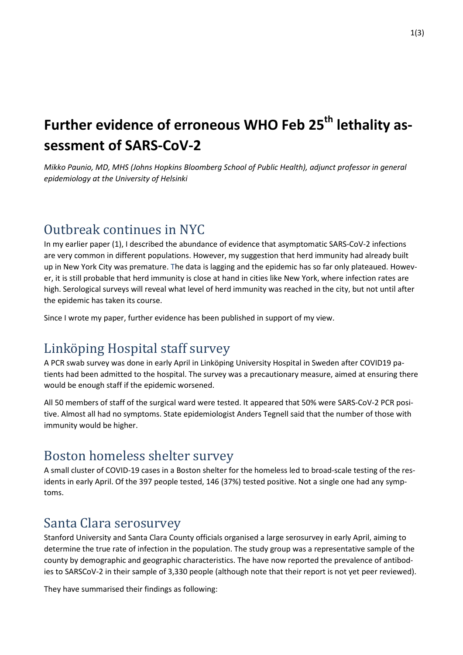# **Further evidence of erroneous WHO Feb 25th lethality assessment of SARS-CoV-2**

*Mikko Paunio, MD, MHS (Johns Hopkins Bloomberg School of Public Health), adjunct professor in general epidemiology at the University of Helsinki*

## Outbreak continues in NYC

In my earlier paper (1), I described the abundance of evidence that asymptomatic SARS-CoV-2 infections are very common in different populations. However, my suggestion that herd immunity had already built up in New York City was premature. The data is lagging and the epidemic has so far only plateaued. However, it is still probable that herd immunity is close at hand in cities like New York, where infection rates are high. Serological surveys will reveal what level of herd immunity was reached in the city, but not until after the epidemic has taken its course.

Since I wrote my paper, further evidence has been published in support of my view.

## Linköping Hospital staff survey

A PCR swab survey was done in early April in Linköping University Hospital in Sweden after COVID19 patients had been admitted to the hospital. The survey was a precautionary measure, aimed at ensuring there would be enough staff if the epidemic worsened.

All 50 members of staff of the surgical ward were tested. It appeared that 50% were SARS-CoV-2 PCR positive. Almost all had no symptoms. State epidemiologist Anders Tegnell said that the number of those with immunity would be higher.

### Boston homeless shelter survey

A small cluster of COVID-19 cases in a Boston shelter for the homeless led to broad-scale testing of the residents in early April. Of the 397 people tested, 146 (37%) tested positive. Not a single one had any symptoms.

### Santa Clara serosurvey

Stanford University and Santa Clara County officials organised a large serosurvey in early April, aiming to determine the true rate of infection in the population. The study group was a representative sample of the county by demographic and geographic characteristics. The have now reported the prevalence of antibodies to SARSCoV-2 in their sample of 3,330 people (although note that their report is not yet peer reviewed).

They have summarised their findings as following: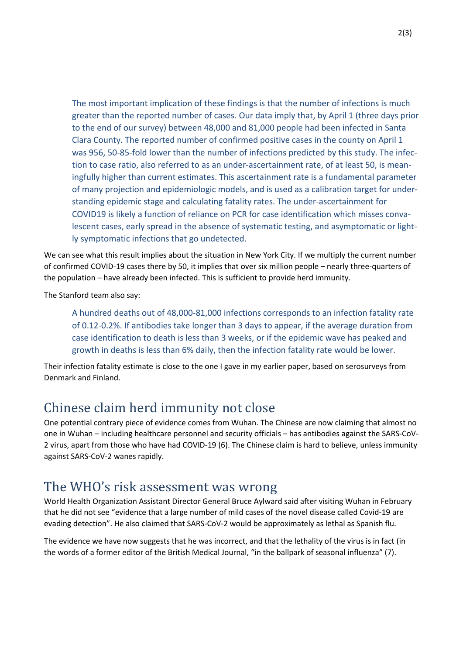The most important implication of these findings is that the number of infections is much greater than the reported number of cases. Our data imply that, by April 1 (three days prior to the end of our survey) between 48,000 and 81,000 people had been infected in Santa Clara County. The reported number of confirmed positive cases in the county on April 1 was 956, 50-85-fold lower than the number of infections predicted by this study. The infection to case ratio, also referred to as an under-ascertainment rate, of at least 50, is meaningfully higher than current estimates. This ascertainment rate is a fundamental parameter of many projection and epidemiologic models, and is used as a calibration target for understanding epidemic stage and calculating fatality rates. The under-ascertainment for COVID19 is likely a function of reliance on PCR for case identification which misses convalescent cases, early spread in the absence of systematic testing, and asymptomatic or lightly symptomatic infections that go undetected.

We can see what this result implies about the situation in New York City. If we multiply the current number of confirmed COVID-19 cases there by 50, it implies that over six million people – nearly three-quarters of the population – have already been infected. This is sufficient to provide herd immunity.

The Stanford team also say:

A hundred deaths out of 48,000-81,000 infections corresponds to an infection fatality rate of 0.12-0.2%. If antibodies take longer than 3 days to appear, if the average duration from case identification to death is less than 3 weeks, or if the epidemic wave has peaked and growth in deaths is less than 6% daily, then the infection fatality rate would be lower.

Their infection fatality estimate is close to the one I gave in my earlier paper, based on serosurveys from Denmark and Finland.

### Chinese claim herd immunity not close

One potential contrary piece of evidence comes from Wuhan. The Chinese are now claiming that almost no one in Wuhan – including healthcare personnel and security officials – has antibodies against the SARS-CoV-2 virus, apart from those who have had COVID-19 (6). The Chinese claim is hard to believe, unless immunity against SARS-CoV-2 wanes rapidly.

#### The WHO's risk assessment was wrong

World Health Organization Assistant Director General Bruce Aylward said after visiting Wuhan in February that he did not see "evidence that a large number of mild cases of the novel disease called Covid-19 are evading detection". He also claimed that SARS-CoV-2 would be approximately as lethal as Spanish flu.

The evidence we have now suggests that he was incorrect, and that the lethality of the virus is in fact (in the words of a former editor of the British Medical Journal, "in the ballpark of seasonal influenza" (7).